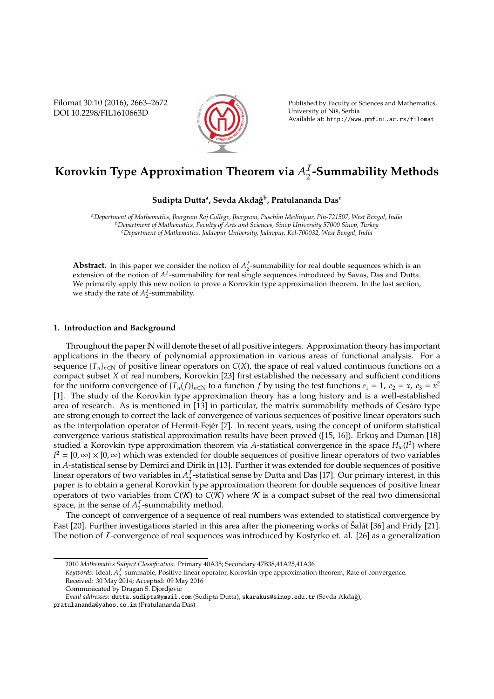Filomat 30:10 (2016), 2663–2672 DOI 10.2298/FIL1610663D



Published by Faculty of Sciences and Mathematics, University of Nis, Serbia ˇ Available at: http://www.pmf.ni.ac.rs/filomat

# **Korovkin Type Approximation Theorem via** *A* I 2 **-Summability Methods**

## $\mathbf S$ udipta Dutta<sup>a</sup>, Sevda Akdağ<sup>b</sup>, Pratulananda Das<sup>c</sup>

*<sup>a</sup>Department of Mathematics, Jhargram Raj College, Jhargram, Paschim Medinipur, Pin-721507, West Bengal, India <sup>b</sup>Department of Mathematics, Faculty of Arts and Sciences, Sinop University 57000 Sinop, Turkey <sup>c</sup>Department of Mathematics, Jadavpur University, Jadavpur, Kol-700032, West Bengal, India*

**Abstract.** In this paper we consider the notion of  $A_2^I$  $\frac{1}{2}$ -summability for real double sequences which is an extension of the notion of  $A<sup>T</sup>$ -summability for real single sequences introduced by Savas, Das and Dutta. We primarily apply this new notion to prove a Korovkin type approximation theorem. In the last section, we study the rate of  $A_2^I$  $\frac{1}{2}$ -summability.

#### **1. Introduction and Background**

Throughout the paper N will denote the set of all positive integers. Approximation theory has important applications in the theory of polynomial approximation in various areas of functional analysis. For a sequence  ${T_n}_{n \in \mathbb{N}}$  of positive linear operators on  $C(X)$ , the space of real valued continuous functions on a compact subset *X* of real numbers, Korovkin [23] first established the necessary and sufficient conditions for the uniform convergence of  ${T_n(f)}_{n \in \mathbb{N}}$  to a function *f* by using the test functions  $e_1 = 1$ ,  $e_2 = x$ ,  $e_3 = x^2$ [1]. The study of the Korovkin type approximation theory has a long history and is a well-established area of research. As is mentioned in [13] in particular, the matrix summability methods of Cesáro type are strong enough to correct the lack of convergence of various sequences of positive linear operators such as the interpolation operator of Hermit-Fejér [7]. In recent years, using the concept of uniform statistical convergence various statistical approximation results have been proved ([15, 16]). Erkus¸ and Duman [18] studied a Korovkin type approximation theorem via *A*-statistical convergence in the space *Hw*(*I* 2 ) where  $I^2 = [0, \infty) \times [0, \infty)$  which was extended for double sequences of positive linear operators of two variables in *A*-statistical sense by Demirci and Dirik in [13]. Further it was extended for double sequences of positive linear operators of two variables in  $A_2^I$  $\frac{1}{2}$ -statistical sense by Dutta and Das [17]. Our primary interest, in this paper is to obtain a general Korovkin type approximation theorem for double sequences of positive linear operators of two variables from  $C(K)$  to  $C(K)$  where K is a compact subset of the real two dimensional space, in the sense of  $A_2^I$  $\frac{1}{2}$ -summability method.

The concept of convergence of a sequence of real numbers was extended to statistical convergence by Fast [20]. Further investigations started in this area after the pioneering works of Šalát [36] and Fridy [21]. The notion of I-convergence of real sequences was introduced by Kostyrko et. al. [26] as a generalization

*Keywords*. Ideal, *A*<sup>*I*</sup><sub>2</sub>-summable, Positive linear operator, Korovkin type approximation theorem, Rate of convergence. Received: 30 May 2014; Accepted: 09 May 2016

<sup>2010</sup> *Mathematics Subject Classification*. Primary 40A35; Secondary 47B38,41A25,41A36

Communicated by Dragan S. Djordjevic´

*Email addresses:* dutta.sudipta@ymail.com (Sudipta Dutta), skarakus@sinop.edu.tr (Sevda Akdağ),

pratulananda@yahoo.co.in (Pratulananda Das)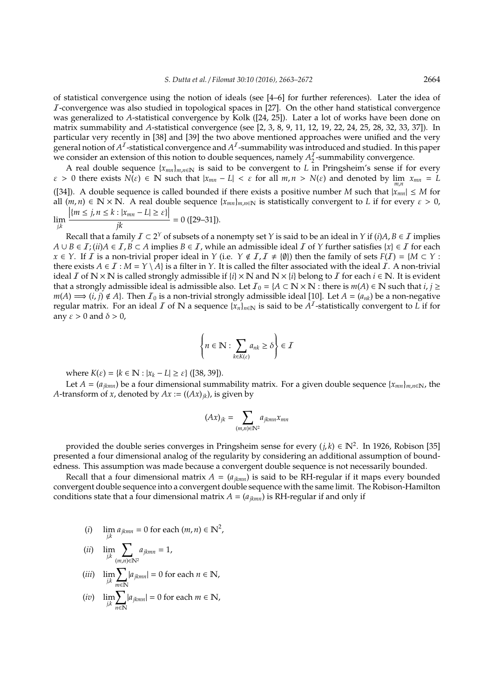of statistical convergence using the notion of ideals (see [4–6] for further references). Later the idea of I-convergence was also studied in topological spaces in [27]. On the other hand statistical convergence was generalized to *A*-statistical convergence by Kolk ([24, 25]). Later a lot of works have been done on matrix summability and *A*-statistical convergence (see [2, 3, 8, 9, 11, 12, 19, 22, 24, 25, 28, 32, 33, 37]). In particular very recently in [38] and [39] the two above mentioned approaches were unified and the very present and tion of  $A^I$ -statistical convergence and  $A^I$ -summability was introduced and studied. In this paper we consider an extension of this notion to double sequences, namely  $A_2^I$  $\frac{1}{2}$ -summability convergence.

A real double sequence  $\{x_{mn}\}_{m,n\in\mathbb{N}}$  is said to be convergent to *L* in Pringsheim's sense if for every  $\varepsilon > 0$  there exists  $N(\varepsilon) \in \mathbb{N}$  such that  $|x_{mn} - L| < \varepsilon$  for all  $m, n > N(\varepsilon)$  and denoted by  $\lim_{m,n} x_{mn} = L$ ([34]). A double sequence is called bounded if there exists a positive number *M* such that  $|x_{mn}| \le M$  for all  $(m, n) \in \mathbb{N} \times \mathbb{N}$ . A real double sequence  $\{x_{mn}\}_{m,n \in \mathbb{N}}$  is statistically convergent to *L* if for every  $\varepsilon > 0$ ,  $\left|\frac{m \leq j, n \leq k : |x_{mn} - L| \geq \varepsilon\}\right|$ 

lim *j*,*k jk* <sup>=</sup> 0 ([29–31]).

Recall that a family  $\mathcal{I} \subset 2^Y$  of subsets of a nonempty set *Y* is said to be an ideal in *Y* if (*i*)*A*, *B*  $\in$  *I* implies *A* ∪ *B* ∈ *I*; (*ii*)*A* ∈ *I*, *B* ⊂ *A* implies *B* ∈ *I*, while an admissible ideal *I* of *Y* further satisfies {*x*} ∈ *I* for each *x* ∈ *Y*. If *I* is a non-trivial proper ideal in *Y* (i.e. *Y* ∉ *I*, *I* ≠ {*Ø*}) then the family of sets  $F(I) = \{M \subset Y : I \neq I\}$ there exists  $A \in I : M = Y \setminus A$  is a filter in *Y*. It is called the filter associated with the ideal *I*. A non-trivial ideal *I* of  $\mathbb{N} \times \mathbb{N}$  is called strongly admissible if  $\{i\} \times \mathbb{N}$  and  $\mathbb{N} \times \{i\}$  belong to *I* for each  $i \in \mathbb{N}$ . It is evident that a strongly admissible ideal is admissible also. Let  $I_0 = \{A \subset \mathbb{N} \times \mathbb{N} : \text{there is } m(A) \in \mathbb{N} \text{ such that } i, j \geq 1\}$ *m*(*A*)  $\implies$  (*i*, *j*) ∉ *A*}. Then  $I_0$  is a non-trivial strongly admissible ideal [10]. Let *A* = ( $a_{nk}$ ) be a non-negative regular matrix. For an ideal *I* of N a sequence  $\{x_n\}_{n\in\mathbb{N}}$  is said to be  $A^I$ -statistically convergent to *L* if for any  $\varepsilon > 0$  and  $\delta > 0$ ,

$$
\left\{ n \in \mathbb{N} : \sum_{k \in K(\varepsilon)} a_{nk} \ge \delta \right\} \in \mathcal{I}
$$

where *K*(*ε*) = {*k* ∈ **N** :  $|x_k - L|$  ≥ *ε*} ([38, 39]).

Let *A* = ( $a_{jkmn}$ ) be a four dimensional summability matrix. For a given double sequence { $x_{mn}$ }<sub>*m,n*∈N</sub>, the *A*-transform of *x*, denoted by  $Ax := ((Ax)_{ik})$ , is given by

$$
(Ax)_{jk} = \sum_{(m,n)\in \mathbb{N}^2} a_{jkmn} x_{mn}
$$

provided the double series converges in Pringsheim sense for every  $(j, k) \in \mathbb{N}^2$ . In 1926, Robison [35] presented a four dimensional analog of the regularity by considering an additional assumption of boundedness. This assumption was made because a convergent double sequence is not necessarily bounded.

Recall that a four dimensional matrix  $A = (a_{ikmn})$  is said to be RH-regular if it maps every bounded convergent double sequence into a convergent double sequence with the same limit. The Robison-Hamilton conditions state that a four dimensional matrix  $A = (a_{jkmn})$  is RH-regular if and only if

(i) 
$$
\lim_{j,k} a_{jkmn} = 0
$$
 for each  $(m, n) \in \mathbb{N}^2$ ,

$$
(ii) \quad \lim_{j,k}\sum_{(m,n)\in\mathbb{N}^2}a_{jkmn}=1,
$$

$$
(iii) \quad \lim_{j,k} \sum_{m \in \mathbb{N}} |a_{jkmn}| = 0 \text{ for each } n \in \mathbb{N},
$$

$$
(iv) \quad \lim_{j,k}\sum_{n\in\mathbb{N}}|a_{jkmn}|=0 \text{ for each } m\in\mathbb{N},
$$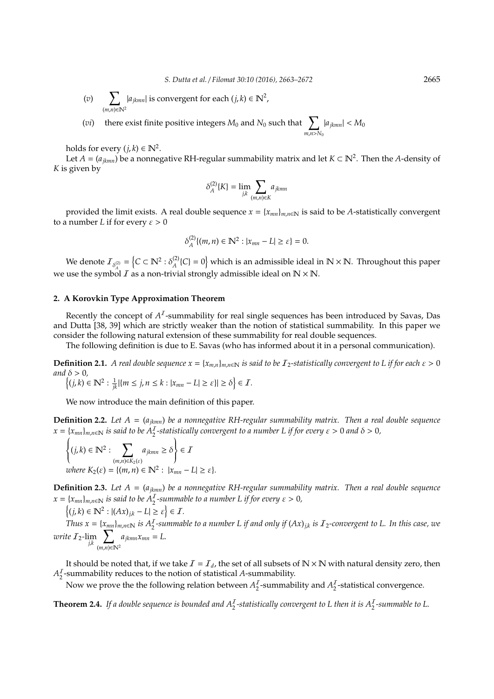(*v*)  $\sum$ (*m*,*n*)∈N<sup>2</sup>  $|a_{jkmn}|$  is convergent for each  $(j, k) \in \mathbb{N}^2$ ,

(*vi*) there exist finite positive integers  $M_0$  and  $N_0$  such that  $\sum_{i=1}^{n}$ *m*,*n*>*N*<sup>0</sup>  $|a_{jkmn}| < M_0$ 

holds for every  $(j, k) \in \mathbb{N}^2$ .

Let  $A = (a_{jkmn})$  be a nonnegative RH-regular summability matrix and let  $K \subset \mathbb{N}^2$ . Then the A-density of *K* is given by

$$
\delta_A^{(2)}\{K\} = \lim_{j,k} \sum_{(m,n)\in K} a_{jkmn}
$$

provided the limit exists. A real double sequence  $x = \{x_{mn}\}_{m,n \in \mathbb{N}}$  is said to be *A*-statistically convergent to a number *L* if for every  $\varepsilon > 0$ 

$$
\delta_A^{(2)}\{(m,n)\in\mathbb{N}^2 : |x_{mn} - L| \geq \varepsilon\} = 0.
$$

We denote  $\mathcal{I}_{\delta_A^{(2)}} = \left\{C \subset \mathbb{N}^2 : \delta_A^{(2)}\right\}$  $A^{(2)}(C) = 0$  which is an admissible ideal in  $\mathbb{N} \times \mathbb{N}$ . Throughout this paper we use the symbol  $I$  as a non-trivial strongly admissible ideal on  $N \times N$ .

## **2. A Korovkin Type Approximation Theorem**

Recently the concept of  $A<sup>I</sup>$ -summability for real single sequences has been introduced by Savas, Das and Dutta [38, 39] which are strictly weaker than the notion of statistical summability. In this paper we consider the following natural extension of these summability for real double sequences.

The following definition is due to E. Savas (who has informed about it in a personal communication).

**Definition 2.1.** *A real double sequence*  $x = \{x_{m,n}\}_{m,n \in \mathbb{N}}$  *is said to be*  $\mathcal{I}_2$ -statistically convergent to L if for each  $\varepsilon > 0$ *and*  $\delta > 0$ *,* 

$$
\left\{(j,k)\in\mathbb{N}^2:\tfrac{1}{jk}|\{m\leq j,n\leq k:|x_{mn}-L|\geq \varepsilon\}|\geq \delta\right\}\in\mathcal{I}.
$$

We now introduce the main definition of this paper.

**Definition 2.2.** *Let A* = (*ajkmn*) *be a nonnegative RH-regular summability matrix. Then a real double sequence*  $x = \{x_{mn}\}_{m,n \in \mathbb{N}}$  *is said to be*  $A_2^T$ *-statistically convergent to a number L if for every*  $\varepsilon > 0$  *and*  $\delta > 0$ *,* 

$$
\left\{(j,k)\in\mathbb{N}^2:\sum_{(m,n)\in K_2(\varepsilon)}a_{jkmn}\geq\delta\right\}\in\mathcal{I}
$$
  
where  $K_2(\varepsilon) = \{(m,n)\in\mathbb{N}^2:\ |x_{mn}-L|\geq\varepsilon\}.$ 

**Definition 2.3.** *Let A* = (*ajkmn*) *be a nonnegative RH-regular summability matrix. Then a real double sequence*  $x = \{x_{mn}\}_{m,n \in \mathbb{N}}$  *is said to be*  $A_2^T$ -summable to a number L if for every  $\varepsilon > 0$ ,

 $\{(j,k)\in\mathbb{N}^2:|(Ax)_{j,k}-L|\geq \varepsilon\}\in\mathcal{I}.$ 

(*m*,*n*)∈N<sup>2</sup>

 $\int$ Thus  $x = \{x_{mn}\}_{m,n \in \mathbb{N}}$  is  $A_2^I$ -summable to a number L if and only if  $(Ax)_{j,k}$  is  $I_2$ -convergent to L. In this case, we *write*  $I_2$ - $\lim_{j,k}$  $\bm{\nabla}$  $a_{jkmn}x_{mn} = L.$ 

It should be noted that, if we take  $I = I_d$ , the set of all subsets of  $N \times N$  with natural density zero, then  $A^I$ <sub>2</sub> 2 -summability reduces to the notion of statistical *A*-summability.

Now we prove the the following relation between  $A_2^I$  $\frac{1}{2}$ -summability and  $A_2^I$  $\frac{1}{2}$ -statistical convergence.

**Theorem 2.4.** If a double sequence is bounded and  $A_2^I$ -statistically convergent to L then it is  $A_2^I$ -summable to L.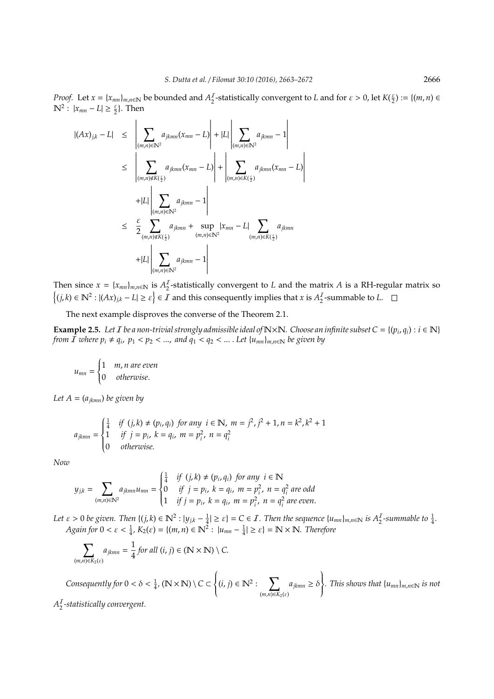*Proof.* Let  $x = \{x_{mn}\}_{m,n \in \mathbb{N}}$  be bounded and  $A_2^I$  $\frac{Z}{2}$ -statistically convergent to *L* and for  $\varepsilon > 0$ , let  $K(\frac{\varepsilon}{2}) := \{(m, n) \in$  $\mathbb{N}^2$ :  $|x_{mn} - L| \ge \frac{\varepsilon}{2}$ . Then

$$
|(Ax)_{j,k} - L| \leq \left| \sum_{(m,n) \in \mathbb{N}^2} a_{jkmn}(x_{mn} - L) \right| + |L| \left| \sum_{(m,n) \in \mathbb{N}^2} a_{jkmn} - 1 \right|
$$
  
\n
$$
\leq \left| \sum_{(m,n) \notin K(\frac{\varepsilon}{2})} a_{jkmn}(x_{mn} - L) \right| + \left| \sum_{(m,n) \in \mathbb{N}^2} a_{jkmn}(x_{mn} - L) \right|
$$
  
\n
$$
+ |L| \left| \sum_{(m,n) \in \mathbb{N}^2} a_{jkmn} - 1 \right|
$$
  
\n
$$
\leq \frac{\varepsilon}{2} \sum_{(m,n) \notin K(\frac{\varepsilon}{2})} a_{jkmn} + \sup_{(m,n) \in \mathbb{N}^2} |x_{mn} - L| \sum_{(m,n) \in K(\frac{\varepsilon}{2})} a_{jkmn}
$$
  
\n
$$
+ |L| \left| \sum_{(m,n) \in \mathbb{N}^2} a_{jkmn} - 1 \right|
$$

Then since  $x = \{x_{mn}\}_{m,n \in \mathbb{N}}$  is  $A_2^T$ 2 -statistically convergent to *L* and the matrix *A* is a RH-regular matrix so  $\{(j,k)\in\mathbb{N}^2: |(Ax)_{j,k}-L|\geq \varepsilon\}\in\mathcal{I}$  and this consequently implies that *x* is  $A_2^{\mathcal{I}}$  $\frac{1}{2}$ -summable to L.

The next example disproves the converse of the Theorem 2.1.

**Example 2.5.** Let *I* be a non-trivial strongly admissible ideal of  $N \times N$ . Choose an infinite subset C = { $(p_i, q_i)$  :  $i \in N$ } *from*  $\tilde{I}$  where  $p_i \neq q_i$ ,  $p_1 < p_2 < ...$ , and  $q_1 < q_2 < ...$  . Let  $\{u_{mn}\}_{m,n \in \mathbb{N}}$  be given by

$$
u_{mn} = \begin{cases} 1 & m, n \text{ are even} \\ 0 & otherwise. \end{cases}
$$

*Let*  $A = (a_{jkmn})$  *be given by* 

$$
a_{jkmn} = \begin{cases} \frac{1}{4} & \text{if } (j,k) \neq (p_i, q_i) \text{ for any } i \in \mathbb{N}, \ m = j^2, j^2 + 1, n = k^2, k^2 + 1\\ 1 & \text{if } j = p_i, \ k = q_i, \ m = p_i^2, \ n = q_i^2\\ 0 & \text{otherwise.} \end{cases}
$$

*Now*

$$
y_{jk} = \sum_{(m,n)\in\mathbb{N}^2} a_{jkmn} u_{mn} = \begin{cases} \frac{1}{4} & \text{if } (j,k) \neq (p_i, q_i) \text{ for any } i \in \mathbb{N} \\ 0 & \text{if } j = p_i, \ k = q_i, \ m = p_i^2, \ n = q_i^2 \text{ are odd} \\ 1 & \text{if } j = p_i, \ k = q_i, \ m = p_i^2, \ n = q_i^2 \text{ are even.} \end{cases}
$$

Let  $\varepsilon > 0$  be given. Then  $\{(j,k) \in \mathbb{N}^2 : |y_{j,k} - \frac{1}{4}| \geq \varepsilon\} = C \in I$ . Then the sequence  $\{u_{mn}\}_{m,n \in \mathbb{N}}$  is  $A_2^I$ -summable to  $\frac{1}{4}$ . *Again for*  $0 < \varepsilon < \frac{1}{4}$ ,  $K_2(\varepsilon) = \{(m, n) \in \mathbb{N}^2 : |u_{mn} - \frac{1}{4}| \ge \varepsilon\} = \mathbb{N} \times \mathbb{N}$ . Therefore

$$
\sum_{(m,n)\in K_2(\varepsilon)} a_{jkmn} = \frac{1}{4} \text{ for all } (i,j)\in (\mathbb{N}\times\mathbb{N})\setminus C.
$$

*Consequently for*  $0 < \delta < \frac{1}{4}$ , ( $\mathbb{N} \times \mathbb{N}$ ) \  $C \subset$  $\left\{\right.$  $\overline{\mathcal{L}}$  $(i, j) \in \mathbb{N}^2:$   $\sum$  $(m,n) \in K_2(\varepsilon)$  $a_{jkmn} \geq \delta$  $\left.\rule{0pt}{2.5pt}\right\}$  $\int$ *. This shows that* {*umn*}*m*,*n*∈<sup>N</sup> *is not*

 $A_2^I$ 2 *-statistically convergent.*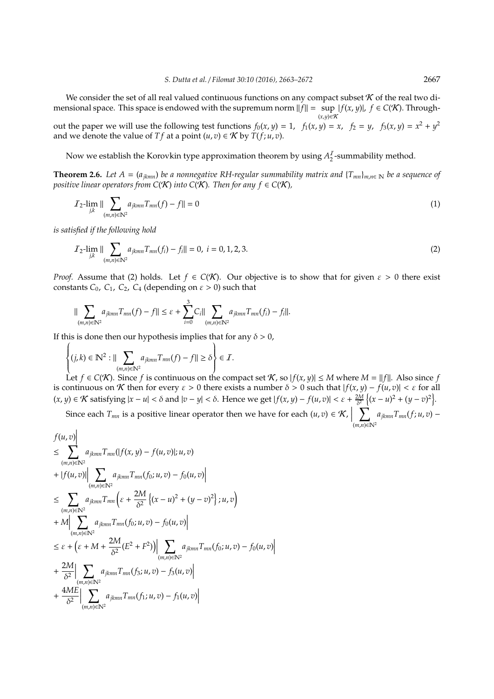We consider the set of all real valued continuous functions on any compact subset  $\mathcal K$  of the real two dimensional space. This space is endowed with the supremum norm  $||f|| = \sup |f(x, y)|, f \in C(K)$ . Through-(*x*,*y*)∈K

out the paper we will use the following test functions  $f_0(x, y) = 1$ ,  $f_1(x, y) = x$ ,  $f_2 = y$ ,  $f_3(x, y) = x^2 + y^2$ and we denote the value of *T f* at a point  $(u, v) \in K$  by *T*(*f*; *u*, *v*).

Now we establish the Korovkin type approximation theorem by using *A* I  $\frac{1}{2}$ -summability method.

**Theorem 2.6.** Let  $A = (a_{jkmn})$  be a nonnegative RH-regular summability matrix and  $\{T_{mn}\}_{m,n\in\mathbb{N}}$  be a sequence of *positive linear operators from*  $C(K)$  *into*  $C(K)$ *. Then for any f*  $\in C(K)$ *,* 

$$
\mathcal{I}_2\text{-}\lim_{j,k} \|\sum_{(m,n)\in\mathbb{N}^2} a_{jkmn} T_{mn}(f) - f\| = 0
$$
\n(1)

*is satisfied if the following hold*

$$
\mathcal{I}_2\text{-}\lim_{j,k} \|\sum_{(m,n)\in\mathbb{N}^2} a_{jkmn}T_{mn}(f_i) - f_i\| = 0, \ i = 0, 1, 2, 3. \tag{2}
$$

*Proof.* Assume that (2) holds. Let  $f \in C(K)$ . Our objective is to show that for given  $\varepsilon > 0$  there exist constants  $C_0$ ,  $C_1$ ,  $C_2$ ,  $C_4$  (depending on  $\varepsilon > 0$ ) such that

$$
\|\sum_{(m,n)\in\mathbb{N}^2} a_{jkmn}T_{mn}(f) - f\| \leq \varepsilon + \sum_{i=0}^3 C_i \|\sum_{(m,n)\in\mathbb{N}^2} a_{jkmn}T_{mn}(f_i) - f_i\|.
$$

If this is done then our hypothesis implies that for any  $\delta > 0$ ,

$$
\left\{ (j,k) \in \mathbb{N}^2 : ||\sum_{(m,n)\in\mathbb{N}^2} a_{jkmn} T_{mn}(f) - f|| \ge \delta \right\} \in \mathcal{I}.
$$

Let *f* ∈ *C*(**K**). Since *f* is continuous on the compact set **K**, so  $|f(x, y)|$  ≤ *M* where *M* =  $||f||$ . Also since *f* is continuous on K then for every  $\varepsilon > 0$  there exists a number  $\delta > 0$  such that  $|f(x, y) - f(u, v)| < \varepsilon$  for all  $(x, y) \in \mathcal{K}$  satisfying  $|x - u| < \delta$  and  $|v - y| < \delta$ . Hence we get  $|f(x, y) - f(u, v)| < \varepsilon + \frac{2M}{\delta^2} \left\{ (x - u)^2 + (y - v)^2 \right\}$ .

Since each *T*<sub>*mn*</sub> is a positive linear operator then we have for each  $(u, v) \in K$ ,  $\bm{\nabla}$ (*m*,*n*)∈N<sup>2</sup> *ajkmnTmn*(*f*; *u*, *v*) −

$$
f(u, v) \le \sum_{(m,n)\in\mathbb{N}^2} a_{jkmn} T_{mn}(|f(x, y) - f(u, v)|; u, v) \n+ |f(u, v)| \sum_{(m,n)\in\mathbb{N}^2} a_{jkmn} T_{mn}(f_0; u, v) - f_0(u, v)| \n\le \sum_{(m,n)\in\mathbb{N}^2} a_{jkmn} T_{mn} \left( \varepsilon + \frac{2M}{\delta^2} \left\{ (x - u)^2 + (y - v)^2 \right\}; u, v \right) \n+ M \Big| \sum_{(m,n)\in\mathbb{N}^2} a_{jkmn} T_{mn}(f_0; u, v) - f_0(u, v) \Big| \n\le \varepsilon + \left( \varepsilon + M + \frac{2M}{\delta^2} (E^2 + F^2) \right) \Big| \sum_{(m,n)\in\mathbb{N}^2} a_{jkmn} T_{mn}(f_0; u, v) - f_0(u, v) \Big| \n+ \frac{2M}{\delta^2} \Big| \sum_{(m,n)\in\mathbb{N}^2} a_{jkmn} T_{mn}(f_3; u, v) - f_3(u, v) \Big| \n+ \frac{4ME}{\delta^2} \Big| \sum_{(m,n)\in\mathbb{N}^2} a_{jkmn} T_{mn}(f_1; u, v) - f_1(u, v) \Big|
$$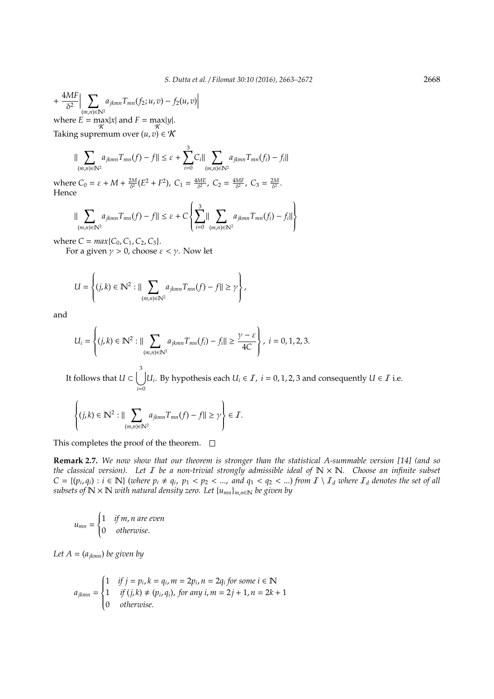$$
+\frac{4MF}{\delta^2} \Big| \sum_{\substack{(m,n)\in \mathbb{N}^2\\ \text{where } E \text{ = } \max_{\mathcal{K}} |x| \text{ and } F = \max_{\mathcal{K}} |y|}} a_{jkmn} T_{mn}(f_2; u, v) - f_2(u, v) \Big|
$$

Taking supremum over  $(u, v) \in \mathcal{K}$ 

$$
\|\sum_{(m,n)\in\mathbb{N}^2} a_{jkmn}T_{mn}(f) - f\| \leq \varepsilon + \sum_{i=0}^3 C_i \|\sum_{(m,n)\in\mathbb{N}^2} a_{jkmn}T_{mn}(f_i) - f_i\|
$$

where  $C_0 = \varepsilon + M + \frac{2M}{\delta^2} (E^2 + F^2)$ ,  $C_1 = \frac{4ME}{\delta^2}$ ,  $C_2 = \frac{4MF}{\delta^2}$ ,  $C_3 = \frac{2M}{\delta^2}$ . Hence

$$
\|\sum_{(m,n)\in\mathbb{N}^2} a_{jkmn}T_{mn}(f) - f\| \leq \varepsilon + C \left\{ \sum_{i=0}^3 \|\sum_{(m,n)\in\mathbb{N}^2} a_{jkmn}T_{mn}(f_i) - f_i\|\right\}
$$

where  $C = max\{C_0, C_1, C_2, C_3\}.$ 

J.

For a given  $\gamma > 0$ , choose  $\varepsilon < \gamma$ . Now let

$$
U = \left\{ (j,k) \in \mathbb{N}^2 : || \sum_{(m,n) \in \mathbb{N}^2} a_{jkmn} T_{mn}(f) - f|| \ge \gamma \right\},\,
$$

and

$$
U_i = \left\{ (j,k) \in \mathbb{N}^2 : || \sum_{(m,n) \in \mathbb{N}^2} a_{jkmn} T_{mn}(f_i) - f_i || \ge \frac{\gamma - \varepsilon}{4C} \right\}, \ i = 0, 1, 2, 3.
$$

It follows that  $U\subset \bigcup^3$ *i*=0 *U*<sup>*i*</sup>. By hypothesis each *U*<sup>*i*</sup> ∈ *I*, *i* = 0, 1, 2, 3 and consequently *U* ∈ *I* i.e.

$$
\left\{(j,k)\in\mathbb{N}^2:\|\sum_{(m,n)\in\mathbb{N}^2}a_{jkmn}T_{mn}(f)-f\|\geq\gamma\right\}\in\mathcal{I}.
$$

This completes the proof of the theorem.  $\square$ 

**Remark 2.7.** *We now show that our theorem is stronger than the statistical A-summable version [14] (and so the classical version). Let* I *be a non-trivial strongly admissible ideal of* N × N*. Choose an infinite subset*  $C = \{(p_i, q_i) : i \in \mathbb{N}\}\$  (where  $p_i \neq q_i$ ,  $p_1 < p_2 < ...$ , and  $q_1 < q_2 < ...$ ) from  $I \setminus I_d$  where  $I_d$  denotes the set of all *subsets of*  $\mathbb{N} \times \mathbb{N}$  *with natural density zero. Let*  $\{u_{mn}\}_{m,n \in \mathbb{N}}$  *be given by* 

$$
u_{mn} = \begin{cases} 1 & \text{if } m, n \text{ are even} \\ 0 & \text{otherwise.} \end{cases}
$$

*Let*  $A = (a_{jkmn})$  *be given by* 

$$
a_{jkmn} = \begin{cases} 1 & \text{if } j = p_i, k = q_i, m = 2p_i, n = 2q_i \text{ for some } i \in \mathbb{N} \\ 1 & \text{if } (j,k) \neq (p_i, q_i), \text{ for any } i, m = 2j + 1, n = 2k + 1 \\ 0 & \text{otherwise.} \end{cases}
$$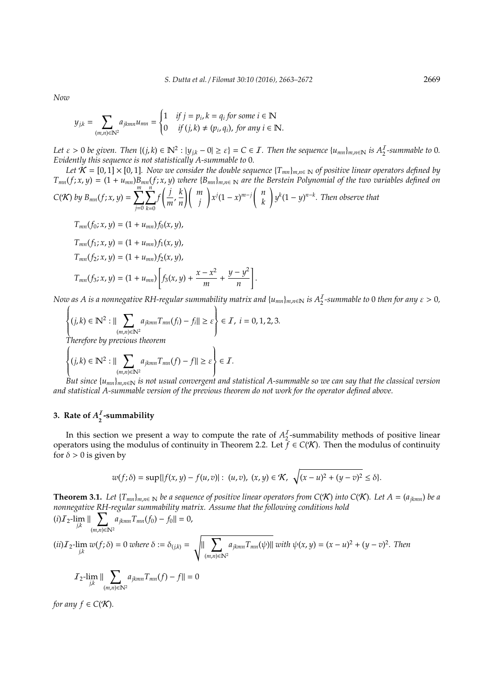*Now*

$$
y_{j,k} = \sum_{(m,n)\in\mathbb{N}^2} a_{jkmn} u_{mn} = \begin{cases} 1 & \text{if } j = p_i, k = q_i \text{ for some } i \in \mathbb{N} \\ 0 & \text{if } (j,k) \neq (p_i, q_i), \text{ for any } i \in \mathbb{N}. \end{cases}
$$

Let  $\varepsilon > 0$  be given. Then  $\{(j,k) \in \mathbb{N}^2 : |y_{jk} - 0| \ge \varepsilon\} = C \in I$ . Then the sequence  $\{u_{mn}\}_{m,n \in \mathbb{N}}$  is  $A_2^I$ -summable to 0. *Evidently this sequence is not statistically A-summable to* 0*.*

*Let*  $K = [0, 1] \times [0, 1]$ . Now we consider the double sequence  $\{T_{mn}\}_{m,n \in \mathbb{N}}$  of positive linear operators defined by  $T_{mn}(f; x, y) = (1 + u_{mn})B_{mn}(f; x, y)$  where  ${B_{mn}}_{m,n \in \mathbb{N}}$  are the Berstein Polynomial of the two variables defined on  $\sum_{i=1}^{m} \sum_{j=1}^{n} f\left(\frac{j}{n} \sum_{i=1}^{n} k\right) \left(m\right)$  $\left( n \right)$ 

$$
C(K) \text{ by } B_{mn}(f; x, y) = \sum_{j=0}^{\infty} \sum_{k=0}^{\infty} f\left(\frac{j}{m}, \frac{k}{n}\right) \binom{m}{j} x^j (1-x)^{m-j} \binom{n}{k} y^k (1-y)^{n-k}. \text{ Then observe that}
$$

 $T_{mn}(f_0; x, y) = (1 + u_{mn})f_0(x, y)$ 

$$
T_{mn}(f_1; x, y) = (1 + u_{mn})f_1(x, y),
$$
  
\n
$$
T_{mn}(f_2; x, y) = (1 + u_{mn})f_2(x, y),
$$
  
\n
$$
T_{mn}(f_3; x, y) = (1 + u_{mn})\left[f_3(x, y) + \frac{x - x^2}{m} + \frac{y - y^2}{n}\right]
$$

*Now as A is a nonnegative RH-regular summability matrix and*  $\{u_{mn}\}_{m,n\in\mathbb{N}}$  *<i>is A*<sub>2</sub>-summable to 0 then for any  $\varepsilon > 0$ ,

1 .

$$
\left\{ (j,k) \in \mathbb{N}^2 : ||\sum_{(m,n)\in\mathbb{N}^2} a_{jkmn} T_{mn}(f_i) - f_i|| \ge \varepsilon \right\} \in \mathcal{I}, i = 0, 1, 2, 3.
$$
  
Therefore by previous theorem  

$$
\left\{ (j,k) \in \mathbb{N}^2 : ||\sum_{jkmn} a_{jkmn} T_{mn}(f) - f|| \ge \varepsilon \right\} \in \mathcal{I}.
$$

$$
\sum_{(m,n)\in\mathbb{N}^2} \sum_{n=1}^{\infty} \sum_{n=1}^{\infty} \sum_{n=1}^{\infty} \sum_{n=1}^{\infty} \sum_{n=1}^{\infty} \sum_{n=1}^{\infty} \sum_{n=1}^{\infty} \sum_{n=1}^{\infty} \sum_{n=1}^{\infty} \sum_{n=1}^{\infty} \sum_{n=1}^{\infty} \sum_{n=1}^{\infty} \sum_{n=1}^{\infty} \sum_{n=1}^{\infty} \sum_{n=1}^{\infty} \sum_{n=1}^{\infty} \sum_{n=1}^{\infty} \sum_{n=1}^{\infty} \sum_{n=1}^{\infty} \sum_{n=1}^{\infty} \sum_{n=1}^{\infty} \sum_{n=1}^{\infty} \sum_{n=1}^{\infty} \sum_{n=1}^{\infty} \sum_{n=1}^{\infty} \sum_{n=1}^{\infty} \sum_{n=1}^{\infty} \sum_{n=1}^{\infty} \sum_{n=1}^{\infty} \sum_{n=1}^{\infty} \sum_{n=1}^{\infty} \sum_{n=1}^{\infty} \sum_{n=1}^{\infty} \sum_{n=1}^{\infty} \sum_{n=1}^{\infty} \sum_{n=1}^{\infty} \sum_{n=1}^{\infty} \sum_{n=1}^{\infty} \sum_{n=1}^{\infty} \sum_{n=1}^{\infty} \sum_{n=1}^{\infty} \sum_{n=1}^{\infty} \sum_{n=1}^{\infty} \sum_{n=1}^{\infty} \sum_{n=1}^{\infty} \sum_{n=1}^{\infty} \sum_{n=1}^{\infty} \sum_{n=1}^{\infty} \sum_{n=1}^{\infty} \sum_{n=1}^{\infty} \sum_{n=1}^{\infty} \sum_{n=1}^{\infty} \sum_{n=1}^{\infty} \sum_{n=1}^{\infty} \sum_{n=1}^{\infty} \sum_{n=1}^{\infty} \sum_{n=1}^{\infty} \sum_{n=1}^{\infty} \sum_{n=1}^{\infty} \sum_{n=1}^{\infty} \sum_{n=1}^{\infty} \sum_{n=1}^{\infty
$$

*but the classical version and statistical A-summable version of the previous theorem do not work for the operator defined above.*

#### **3.** Rate of  $A_2^I$ **2 -summability**

In this section we present a way to compute the rate of  $A_2^I$ 2 -summability methods of positive linear operators using the modulus of continuity in Theorem 2.2. Let  $\tilde{f} \in C(\mathcal{K})$ . Then the modulus of continuity for  $\delta > 0$  is given by

$$
w(f; \delta) = \sup\{|f(x, y) - f(u, v)| : (u, v), (x, y) \in \mathcal{K}, \sqrt{(x - u)^2 + (y - v)^2} \le \delta\}.
$$

**Theorem 3.1.** Let  ${T_{mn}}_{m,n \in \mathbb{N}}$  be a sequence of positive linear operators from C(K) into C(K). Let  $A = (a_{ikmn})$  be a *nonnegative RH-regular summability matrix. Assume that the following conditions hold*

$$
(i) \mathcal{I}_2 - \lim_{j,k} \|\sum_{(m,n)\in\mathbb{N}^2} a_{jkmn} T_{mn}(f_0) - f_0\| = 0,
$$
  
\n
$$
(ii) \mathcal{I}_2 - \lim_{j,k} w(f, \delta) = 0 \text{ where } \delta := \delta_{(j,k)} = \sqrt{\|\sum_{(m,n)\in\mathbb{N}^2} a_{jkmn} T_{mn}(\psi)\|} \text{ with } \psi(x, y) = (x - u)^2 + (y - v)^2. \text{ Then}
$$
  
\n
$$
\mathcal{I}_2 - \lim_{j,k} \|\sum_{(m,n)\in\mathbb{N}^2} a_{jkmn} T_{mn}(f) - f\| = 0
$$

*for any*  $f \in C(K)$ *.*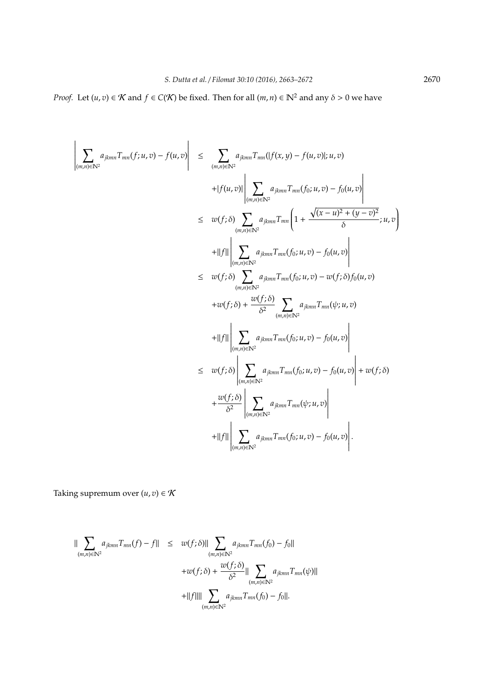*Proof.* Let  $(u, v) \in K$  and  $f \in C(K)$  be fixed. Then for all  $(m, n) \in \mathbb{N}^2$  and any  $\delta > 0$  we have

$$
\left| \sum_{(m,n)\in\mathbb{N}^2} a_{jkmn} T_{mn}(f;u,v) - f(u,v) \right| \leq \sum_{(m,n)\in\mathbb{N}^2} a_{jkmn} T_{mn}(|f(x,y) - f(u,v)|;u,v) \n+|f(u,v)| \left| \sum_{(m,n)\in\mathbb{N}^2} a_{jkmn} T_{mn}(f_0;u,v) - f_0(u,v) \right| \n\leq w(f; \delta) \sum_{(m,n)\in\mathbb{N}^2} a_{jkmn} T_{mn} \left( 1 + \frac{\sqrt{(x-u)^2 + (y-v)^2}}{\delta};u,v \right) \n+||f|| \left| \sum_{(m,n)\in\mathbb{N}^2} a_{jkmn} T_{mn}(f_0;u,v) - f_0(u,v) \right| \n\leq w(f; \delta) \sum_{(m,n)\in\mathbb{N}^2} a_{jkmn} T_{mn}(f_0;u,v) - w(f; \delta) f_0(u,v) \n+ w(f; \delta) + \frac{w(f; \delta)}{\delta^2} \sum_{(m,n)\in\mathbb{N}^2} a_{jkmn} T_{mn}(f_0;u,v) - f_0(u,v) \right| \n+||f|| \left| \sum_{(m,n)\in\mathbb{N}^2} a_{jkmn} T_{mn}(f_0;u,v) - f_0(u,v) \right| \n\leq w(f; \delta) \left| \sum_{(m,n)\in\mathbb{N}^2} a_{jkmn} T_{mn}(f_0;u,v) - f_0(u,v) \right| + w(f; \delta) \n+ \frac{w(f; \delta)}{\delta^2} \left| \sum_{(m,n)\in\mathbb{N}^2} a_{jkmn} T_{mn}(f_0;u,v) - f_0(u,v) \right| \n+||f|| \left| \sum_{(m,n)\in\mathbb{N}^2} a_{jkmn} T_{mn}(f_0;u,v) - f_0(u,v) \right|.
$$

Taking supremum over  $(u, v) \in K$ 

 $\overline{\phantom{a}}$ 

$$
\| \sum_{(m,n)\in \mathbb{N}^2} a_{jkmn} T_{mn}(f) - f \| \leq w(f; \delta) \| \sum_{(m,n)\in \mathbb{N}^2} a_{jkmn} T_{mn}(f_0) - f_0 \|
$$
  
+
$$
+ w(f; \delta) + \frac{w(f; \delta)}{\delta^2} \| \sum_{(m,n)\in \mathbb{N}^2} a_{jkmn} T_{mn}(\psi) \|
$$
  
+
$$
+ \|f\| \| \sum_{(m,n)\in \mathbb{N}^2} a_{jkmn} T_{mn}(f_0) - f_0 \|.
$$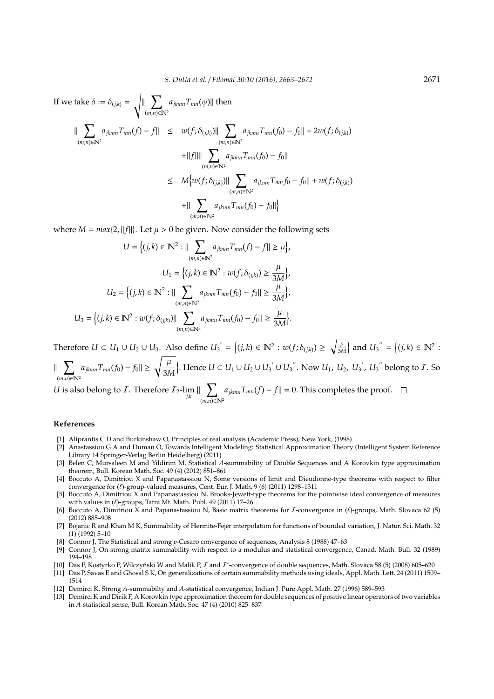If we take 
$$
\delta := \delta_{(j,k)} = \sqrt{\|\sum_{(m,n)\in\mathbb{N}^2} a_{jkmn} T_{mn}(\psi)\|}
$$
 then  
\n
$$
\|\sum_{(m,n)\in\mathbb{N}^2} a_{jkmn} T_{mn}(f) - f\| \le w(f; \delta_{(j,k)})\|\sum_{(m,n)\in\mathbb{N}^2} a_{jkmn} T_{mn}(f_0) - f_0\| + 2w(f; \delta_{(j,k)}) + \|f\|\|\sum_{(m,n)\in\mathbb{N}^2} a_{jkmn} T_{mn}(f_0) - f_0\|
$$
\n
$$
\le M\{w(f; \delta_{(j,k)})\|\sum_{(m,n)\in\mathbb{N}^2} a_{jkmn} T_{mn}(f_0) - f_0\| + w(f; \delta_{(j,k)}) + \|\sum_{(m,n)\in\mathbb{N}^2} a_{jkmn} T_{mn}(f_0) - f_0\|\}
$$

where  $M = max\{2, ||f||\}$ . Let  $\mu > 0$  be given. Now consider the following sets

$$
U = \left\{ (j,k) \in \mathbb{N}^2 : || \sum_{(m,n) \in \mathbb{N}^2} a_{jkmn} T_{mn}(f) - f|| \ge \mu \right\},\
$$

$$
U_1 = \left\{ (j,k) \in \mathbb{N}^2 : w(f; \delta_{(j,k)}) \ge \frac{\mu}{3M} \right\},\
$$

$$
U_2 = \left\{ (j,k) \in \mathbb{N}^2 : || \sum_{(m,n) \in \mathbb{N}^2} a_{jkmn} T_{mn}(f_0) - f_0|| \ge \frac{\mu}{3M} \right\},\
$$

$$
U_3 = \left\{ (j,k) \in \mathbb{N}^2 : w(f; \delta_{(j,k)}) || \sum_{(m,n) \in \mathbb{N}^2} a_{jkmn} T_{mn}(f_0) - f_0|| \ge \frac{\mu}{3M} \right\}.
$$

Therefore  $U \subset U_1 \cup U_2 \cup U_3$ . Also define  $U_3' = \{(j,k) \in \mathbb{N}^2 : w(f; \delta_{(j,k)}) \geq \sqrt{\frac{\mu}{3\lambda}}\}$  $\frac{\mu}{3M}$  and  $U_3^{\prime\prime} = \{(j,k) \in \mathbb{N}^2 :$  $a_{jkmn}T_{mn}(f_0) - f_0 \leq \sqrt{\frac{\mu}{2\lambda}}$ 

 $\| \nabla$ (*m*,*n*)∈N<sup>2</sup> 3*M* }. Hence *U* ⊂ *U*<sub>1</sub> ∪ *U*<sub>2</sub> ∪ *U*<sub>3</sub><sup>''</sup> ∪ *U*<sub>3</sub><sup>''</sup>. Now *U*<sub>1</sub>, *U*<sub>2</sub>, *U*<sub>3</sub><sup>'</sup>, *U*<sub>3</sub><sup>''</sup> belong to *I*. So

*U* is also belong to *I*. Therefore  $I_2$ -lim  $\| \nabla$ (*m*,*n*)∈N<sup>2</sup>  $a_{jkmn}T_{mn}(f) - f|| = 0$ . This completes the proof.

### **References**

- [1] Aliprantis C D and Burkinshaw O, Principles of real analysis (Academic Press), New York, (1998)
- [2] Anastassiou G A and Duman O, Towards Intelligent Modeling: Statistical Approximation Theory (Intelligent System Reference Library 14 Springer-Verlag Berlin Heidelberg) (2011)
- [3] Belen C, Mursaleen M and Yildirim M, Statistical *A*-summability of Double Sequences and A Korovkin type approximation theorem, Bull. Korean Math. Soc. 49 (4) (2012) 851–861
- [4] Boccuto A, Dimitriou X and Papanastassiou N, Some versions of limit and Dieudonne-type theorems with respect to filter convergence for  $(\ell)$ -group-valued measures, Cent. Eur. J. Math. 9 (6) (2011) 1298–1311
- [5] Boccuto A, Dimitriou X and Papanastassiou N, Brooks-Jewett-type theorems for the pointwise ideal convergence of measures with values in  $(\ell)$ -groups, Tatra Mt. Math. Publ. 49 (2011) 17–26
- [6] Boccuto A, Dimitriou X and Papanastassiou N, Basic matrix theorems for *I*-convergence in  $(\ell)$ -groups, Math. Slovaca 62 (5) (2012) 885–908
- [7] Bojanic R and Khan M K, Summability of Hermite-Fejér interpolation for functions of bounded variation, J. Natur. Sci. Math. 32 (1) (1992) 5–10
- [8] Connor J, The Statistical and strong *p*-Cesaro convergence of sequences, Analysis 8 (1988) 47–63
- [9] Connor J, On strong matrix summability with respect to a modulus and statistical convergence, Canad. Math. Bull. 32 (1989) 194–198
- [10] Das P, Kostyrko P, Wilczyński W and Malik P,  $I$  and  $I^*$ -convergence of double sequences, Math. Slovaca 58 (5) (2008) 605–620
- [11] Das P, Savas E and Ghosal S K, On generalizations of certain summability methods using ideals, Appl. Math. Lett. 24 (2011) 1509– 1514
- [12] Demirci K, Strong *A*-summabilty and *A*-statistical convergence, Indian J. Pure Appl. Math. 27 (1996) 589–593
- [13] Demirci K and Dirik F, A Korovkin type approximation theorem for double sequences of positive linear operators of two variables in *A*-statistical sense, Bull. Korean Math. Soc. 47 (4) (2010) 825–837